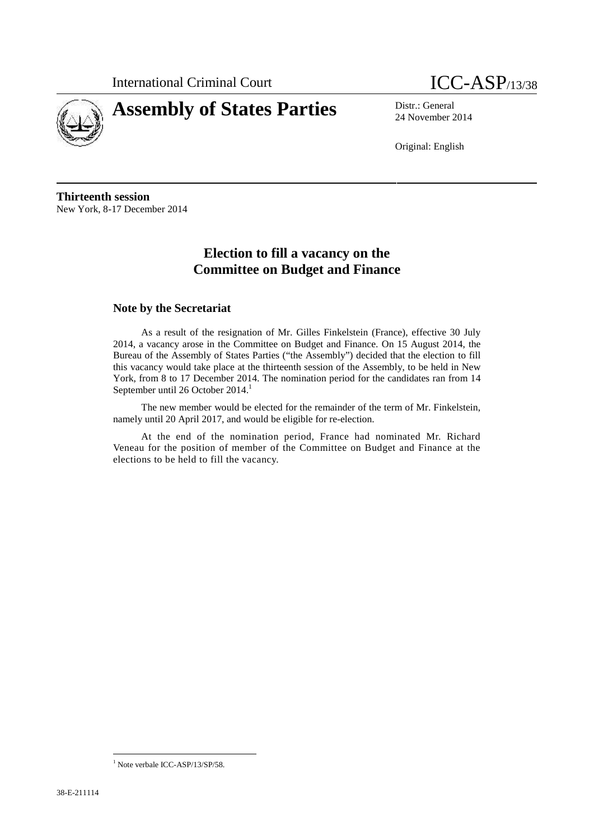

# **Assembly of States Parties** Distr.: General



24 November 2014

Original: English

**Thirteenth session** New York, 8-17 December 2014

# **Election to fill a vacancy on the Committee on Budget and Finance**

# **Note by the Secretariat**

As a result of the resignation of Mr. Gilles Finkelstein (France), effective 30 July 2014, a vacancy arose in the Committee on Budget and Finance. On 15 August 2014, the Bureau of the Assembly of States Parties ("the Assembly") decided that the election to fill this vacancy would take place at the thirteenth session of the Assembly, to be held in New York, from 8 to 17 December 2014. The nomination period for the candidates ran from 14 September until 26 October 2014.<sup>1</sup>

The new member would be elected for the remainder of the term of Mr. Finkelstein, namely until 20 April 2017, and would be eligible for re-election.

At the end of the nomination period, France had nominated Mr. Richard Veneau for the position of member of the Committee on Budget and Finance at the elections to be held to fill the vacancy.

<sup>&</sup>lt;sup>1</sup> Note verbale ICC-ASP/13/SP/58.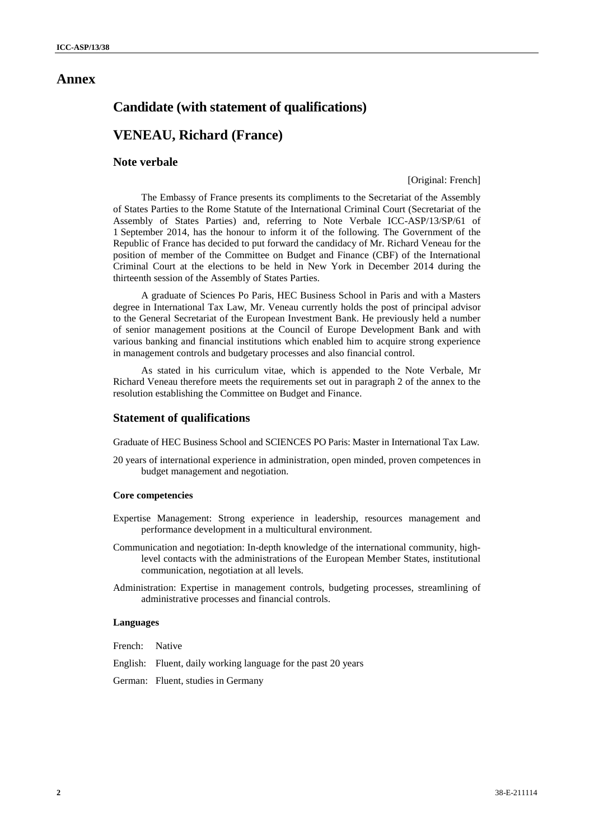# **Annex**

# **Candidate (with statement of qualifications)**

# **VENEAU, Richard (France)**

# **Note verbale**

## [Original: French]

The Embassy of France presents its compliments to the Secretariat of the Assembly of States Parties to the Rome Statute of the International Criminal Court (Secretariat of the Assembly of States Parties) and, referring to Note Verbale ICC-ASP/13/SP/61 of 1 September 2014, has the honour to inform it of the following. The Government of the Republic of France has decided to put forward the candidacy of Mr. Richard Veneau for the position of member of the Committee on Budget and Finance (CBF) of the International Criminal Court at the elections to be held in New York in December 2014 during the thirteenth session of the Assembly of States Parties.

A graduate of Sciences Po Paris, HEC Business School in Paris and with a Masters degree in International Tax Law, Mr. Veneau currently holds the post of principal advisor to the General Secretariat of the European Investment Bank. He previously held a number of senior management positions at the Council of Europe Development Bank and with various banking and financial institutions which enabled him to acquire strong experience in management controls and budgetary processes and also financial control.

As stated in his curriculum vitae, which is appended to the Note Verbale, Mr Richard Veneau therefore meets the requirements set out in paragraph 2 of the annex to the resolution establishing the Committee on Budget and Finance.

# **Statement of qualifications**

Graduate of HEC Business School and SCIENCES PO Paris: Master in International Tax Law.

20 years of international experience in administration, open minded, proven competences in budget management and negotiation.

#### **Core competencies**

- Expertise Management: Strong experience in leadership, resources management and performance development in a multicultural environment.
- Communication and negotiation: In-depth knowledge of the international community, highlevel contacts with the administrations of the European Member States, institutional communication, negotiation at all levels.
- Administration: Expertise in management controls, budgeting processes, streamlining of administrative processes and financial controls.

#### **Languages**

French: Native

- English: Fluent, daily working language for the past 20 years
- German: Fluent, studies in Germany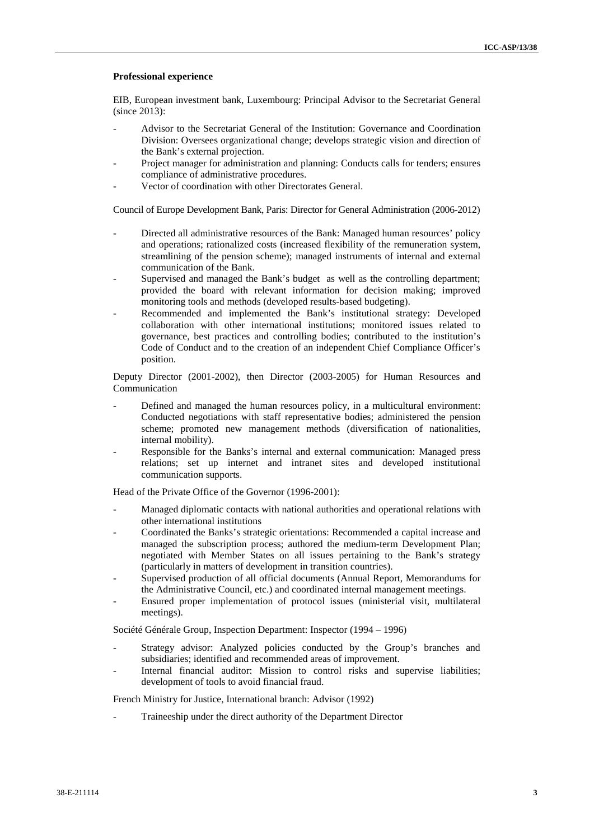#### **Professional experience**

EIB, European investment bank, Luxembourg: Principal Advisor to the Secretariat General (since 2013):

- Advisor to the Secretariat General of the Institution: Governance and Coordination Division: Oversees organizational change; develops strategic vision and direction of the Bank's external projection.
- Project manager for administration and planning: Conducts calls for tenders; ensures compliance of administrative procedures.
- Vector of coordination with other Directorates General.

Council of Europe Development Bank, Paris: Director for General Administration (2006-2012)

- Directed all administrative resources of the Bank: Managed human resources' policy and operations; rationalized costs (increased flexibility of the remuneration system, streamlining of the pension scheme); managed instruments of internal and external communication of the Bank.
- Supervised and managed the Bank's budget as well as the controlling department; provided the board with relevant information for decision making; improved monitoring tools and methods (developed results-based budgeting).
- Recommended and implemented the Bank's institutional strategy: Developed collaboration with other international institutions; monitored issues related to governance, best practices and controlling bodies; contributed to the institution's Code of Conduct and to the creation of an independent Chief Compliance Officer's position.

Deputy Director (2001-2002), then Director (2003-2005) for Human Resources and Communication

- Defined and managed the human resources policy, in a multicultural environment: Conducted negotiations with staff representative bodies; administered the pension scheme; promoted new management methods (diversification of nationalities, internal mobility).
- Responsible for the Banks's internal and external communication: Managed press relations; set up internet and intranet sites and developed institutional communication supports.

Head of the Private Office of the Governor (1996-2001):

- Managed diplomatic contacts with national authorities and operational relations with other international institutions
- Coordinated the Banks's strategic orientations: Recommended a capital increase and managed the subscription process; authored the medium-term Development Plan; negotiated with Member States on all issues pertaining to the Bank's strategy (particularly in matters of development in transition countries).
- Supervised production of all official documents (Annual Report, Memorandums for the Administrative Council, etc.) and coordinated internal management meetings.
- Ensured proper implementation of protocol issues (ministerial visit, multilateral meetings).

Société Générale Group, Inspection Department: Inspector (1994 – 1996)

- Strategy advisor: Analyzed policies conducted by the Group's branches and subsidiaries; identified and recommended areas of improvement.
- Internal financial auditor: Mission to control risks and supervise liabilities; development of tools to avoid financial fraud.

French Ministry for Justice, International branch: Advisor (1992)

Traineeship under the direct authority of the Department Director